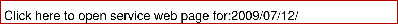| Click here to open service web page for:2009/07/12/ |  |
|-----------------------------------------------------|--|
|-----------------------------------------------------|--|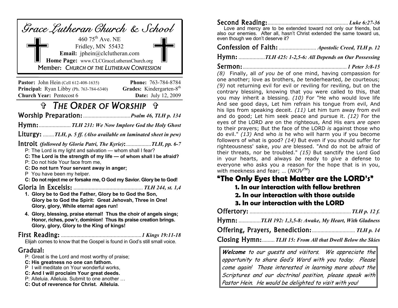| Grace Lutheran Church & School                                                                                                                                               |
|------------------------------------------------------------------------------------------------------------------------------------------------------------------------------|
| 460 $75^{\text{th}}$ Ave. NE<br>Fridley, MN 55432<br>Email: jphein@clclutheran.com<br>Home Page: www.CLCGraceLutheranChurch.org<br>Member: CHURCH OF THE LUTHERAN CONFESSION |

**Pastor:** John Hein (Cell 612-408-1635) **Phone:** 763-784-8784 **Principal:** Ryan Libby (Ph. 763-784-6340) **Grades:** Kindergarten-8<sup>th</sup> **Church Year:** Pentecost 6 **Date:** July 12, 2009

# *THE ORDER OF WORSHIP +*

..................................*Psalm 46, TLH p. 134* 

....................... *TLH 231: We Now Implore God the Holy Ghost* 

Liturgy: ........*TLH, p. 5 ff. (Also available on laminated sheet in pew)* 

*(followed by Gloria Patri, The Kyrie)*:..................*TLH, pp. 6-7*

P: The Lord is my light and salvation — whom shall I fear?

**C: The Lord is the strength of my life — of whom shall I be afraid?**

P: Do not hide Your face from me,

- **C: Do not turn Your servant away in anger;**
- P You have been my helper.
- **C: Do not reject me or forsake me, O God my Savior. Glory be to God!**

#### .................................................. *TLH 244, st. 1,4*

- **1. Glory be to God the Father, Glory be to God the Son, Glory be to God the Spirit: Great Jehovah, Three in One! Glory, glory, While eternal ages run!**
- **4. Glory, blessing, praise eternal! Thus the choir of angels sings; Honor, riches, pow'r, dominion! Thus its praise creation brings. Glory, glory, Glory to the King of kings!**

#### ..........................................................*1 Kings 19:11-18*

Elijah comes to know that the Gospel is found in God's still small voice.

### Gradual:

- P: Great is the Lord and most worthy of praise;
- **C: His greatness no one can fathom.**
- P I will meditate on Your wonderful works,
- **C: And I will proclaim Your great deeds.**
- P: Alleluia. Alleluia. Submit to one another …
- **C: Out of reverence for Christ. Alleluia.**

| Love and mercy are to be extended toward not only our friends, but      |  |
|-------------------------------------------------------------------------|--|
| also our enemies. After all, hasn't Christ extended the same toward us, |  |
| even though we don't deserve it?                                        |  |
|                                                                         |  |

**Confession of Faith:** ............................ *Apostolic Creed, TLH p. 12* 

...................*TLH 425: 1-2,5-6: All Depends on Our Possessing* 

........................................................................... *1 Peter 3:8-15* 

*(8)* Finally, all *of you be* of one mind, having compassion for one another; love as brothers, *be* tenderhearted, *be* courteous; *(9)* not returning evil for evil or reviling for reviling, but on the contrary blessing, knowing that you were called to this, that you may inherit a blessing. *(10)* For "He who would love life And see good days, Let him refrain his tongue from evil, And his lips from speaking deceit. *(11)* Let him turn away from evil and do good; Let him seek peace and pursue it. *(12)* For the eyes of the LORD *are* on the righteous, And His ears *are open*  to their prayers; But the face of the LORD *is* against those who do evil." *(13)* And who *is* he who will harm you if you become followers of what is good? *(14)* But even if you should suffer for righteousness' sake, *you are* blessed. "And do not be afraid of their threats, nor be troubled." *(15)* But sanctify the Lord God in your hearts, and always *be* ready to *give* a defense to everyone who asks you a reason for the hope that is in you, with meekness and fear; … (*NKJVTM*)

### **"The Only Eyes that Matter are the LORD's"**

- **1. In our interaction with fellow brethren**
- **2. In our interaction with those outside**
- **3. In our interaction with the LORD**

|--|--|--|

................*TLH 192: 1,3,5-8: Awake, My Heart, With Gladness* 

Offering, Prayers, Benediction: ................................ TLH p. 14

**Closing Hymn:** *TLH 15: From All that Dwell Below the Skies* 

Welcome to our quests and visitors. We appreciate the opportunity to share God's Word with you today. Please come again! Those interested in learning more about the Scriptures and our doctrinal position, please speak with Pastor Hein. He would be delighted to visit with you!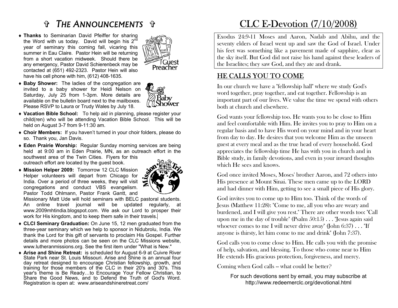# **C** THE ANNOUNCEMENTS

♦ **Thanks** to Seminarian David Pfeiffer for sharing the Word with us today. David will begin his  $2^{n\bar{d}}$ year of seminary this coming fall, vicaring this summer in Eau Claire. Pastor Hein will be returning from a short vacation midweek. Should there be any emergency, Pastor David Schierenbeck may be contacted at (651) 492-2323. Pastor Hein will also have his cell phone with him, (612) 408-1635.



♦ **Baby Shower:** The ladies of the congregation are invited to a baby shower for Heidi Nelson on Saturday, July 25 from 1-3pm. More details are available on the bulletin board next to the mailboxes. Please RSVP to Laura or Trudy Wales by July 18.

- ♦ **Vacation Bible School:** To help aid in planning, please register your child(ren) who will be attending Vacation Bible School. This will be held on August 3-7 from 9-11:30 am.
- ♦ **Choir Members:** If you haven't turned in your choir folders, please do so. Thank you, Jan Davis.
- ♦ **Eden Prairie Worship:** Regular Sunday morning services are being held at 9:00 am in Eden Prairie, MN, as an outreach effort in the southwest area of the Twin Cities. Flyers for this outreach effort are located by the guest book.
- ♦ **Mission Helper 2009:** Tomorrow 12 CLC Mission Helper volunteers will depart from Chicago for India. Over a period of three weeks, they will visit congregations and conduct VBS evangelism. Pastor Todd Ohlmann, Pastor Frank Gantt, and



Missionary Matt Ude will hold seminars with BELC pastoral students. An online travel journal will be updated regularly, at www.2009mhtindia.blogspot.com. We ask our Lord to prosper their work for His kingdom, and to keep them safe in their travels.

- ♦ **CLCI Seminary Graduation:** On June 15, 12 men graduated from the three-year seminary which we help to sponsor in Nidubrolu, India. We thank the Lord for this gift of servants to proclaim His Gospel. Further details and more photos can be seen on the CLC Missions website, www.lutheranmissions.org. See the first item under "What is New."
- ♦ **Arise and Shine Retreat:** is scheduled for August 6-9 at Cuivre River State Park near St. Louis Missouri. Arise and Shine is an annual four day retreat designed to encourage Christian fellowship, growth, and training for those members of the CLC in their 20's and 30's. This year's theme is Be Ready...to Encourage Your Fellow Christian, to Share the Good News, and to Defend the Truth of God's Word. Registration is open at: www.ariseandshineretreat.com/

# **CLC E-Devotion (7/10/2008)**

Exodus 24:9-11 Moses and Aaron, Nadab and Abihu, and the seventy elders of Israel went up and saw the God of Israel. Under his feet was something like a pavement made of sapphire, clear as the sky itself. But God did not raise his hand against these leaders of the Israelites; they saw God, and they ate and drank.

### HE CALLS YOU TO COME

In our church we have a "fellowship hall" where we study God's word together, pray together, and eat together. Fellowship is an important part of our lives. We value the time we spend with others both at church and elsewhere.

God wants your fellowship too. He wants you to be close to Him and feel comfortable with Him. He invites you to pray to Him on a regular basis and to have His word on your mind and in your heart from day to day. He desires that you welcome Him as the unseen guest at every meal and as the true head of every household. God appreciates the fellowship time He has with you in church and in Bible study, in family devotions, and even in your inward thoughts which He sees and knows.

God once invited Moses, Moses' brother Aaron, and 72 others into His presence at Mount Sinai. These men came up to the LORD and had dinner with Him, getting to see a small piece of His glory.

God invites you to come up to Him too. Think of the words of Jesus (Matthew 11:28): "Come to me, all you who are weary and burdened, and I will give you rest." There are other words too: "Call upon me in the day of trouble" (Psalm 50:15) . . . "Jesus again said whoever comes to me I will never drive away" (John 6:37) . . . "If anyone is thirsty, let him come to me and drink" (John 7:37).

God calls you to come close to Him. He calls you with the promise of help, salvation, and blessing. To those who come near to Him He extends His gracious protection, forgiveness, and mercy.

Coming when God calls -- what could be better?

For such devotions sent by email, you may subscribe at http://www.redeemerclc.org/devotional.html